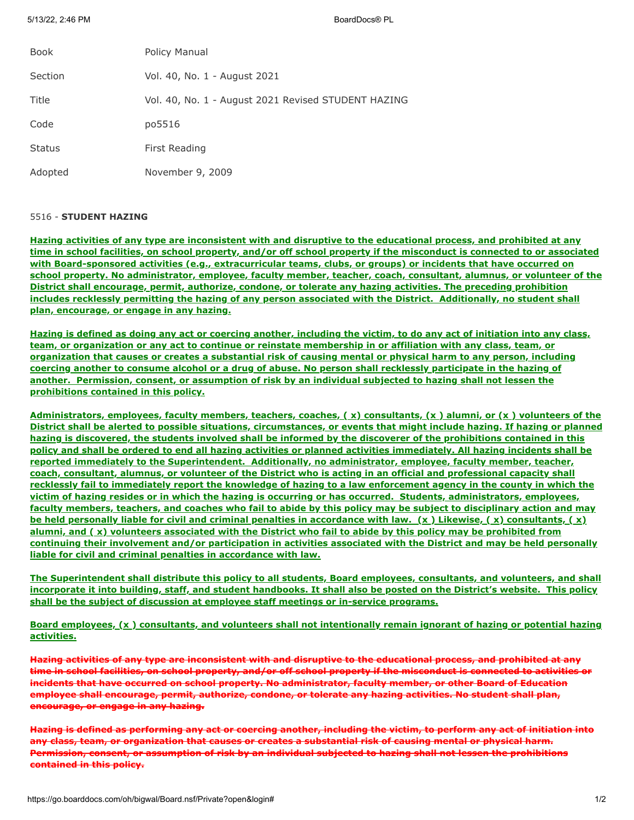5/13/22, 2:46 PM BoardDocs® PL

| Book          | Policy Manual                                       |
|---------------|-----------------------------------------------------|
| Section       | Vol. 40, No. 1 - August 2021                        |
| Title         | Vol. 40, No. 1 - August 2021 Revised STUDENT HAZING |
| Code          | po5516                                              |
| <b>Status</b> | First Reading                                       |
| Adopted       | November 9, 2009                                    |

## 5516 - **STUDENT HAZING**

**Hazing activities of any type are inconsistent with and disruptive to the educational process, and prohibited at any time in school facilities, on school property, and/or off school property if the misconduct is connected to or associated with Board-sponsored activities (e.g., extracurricular teams, clubs, or groups) or incidents that have occurred on school property. No administrator, employee, faculty member, teacher, coach, consultant, alumnus, or volunteer of the District shall encourage, permit, authorize, condone, or tolerate any hazing activities. The preceding prohibition includes recklessly permitting the hazing of any person associated with the District. Additionally, no student shall plan, encourage, or engage in any hazing.**

**Hazing is defined as doing any act or coercing another, including the victim, to do any act of initiation into any class, team, or organization or any act to continue or reinstate membership in or affiliation with any class, team, or organization that causes or creates a substantial risk of causing mental or physical harm to any person, including coercing another to consume alcohol or a drug of abuse. No person shall recklessly participate in the hazing of another. Permission, consent, or assumption of risk by an individual subjected to hazing shall not lessen the prohibitions contained in this policy.**

**Administrators, employees, faculty members, teachers, coaches, ( x) consultants, (x ) alumni, or (x ) volunteers of the District shall be alerted to possible situations, circumstances, or events that might include hazing. If hazing or planned hazing is discovered, the students involved shall be informed by the discoverer of the prohibitions contained in this policy and shall be ordered to end all hazing activities or planned activities immediately. All hazing incidents shall be reported immediately to the Superintendent. Additionally, no administrator, employee, faculty member, teacher, coach, consultant, alumnus, or volunteer of the District who is acting in an official and professional capacity shall recklessly fail to immediately report the knowledge of hazing to a law enforcement agency in the county in which the victim of hazing resides or in which the hazing is occurring or has occurred. Students, administrators, employees, faculty members, teachers, and coaches who fail to abide by this policy may be subject to disciplinary action and may be held personally liable for civil and criminal penalties in accordance with law. (x ) Likewise, ( x) consultants, ( x) alumni, and ( x) volunteers associated with the District who fail to abide by this policy may be prohibited from continuing their involvement and/or participation in activities associated with the District and may be held personally liable for civil and criminal penalties in accordance with law.**

**The Superintendent shall distribute this policy to all students, Board employees, consultants, and volunteers, and shall incorporate it into building, staff, and student handbooks. It shall also be posted on the District's website. This policy shall be the subject of discussion at employee staff meetings or in-service programs.**

**Board employees, (x ) consultants, and volunteers shall not intentionally remain ignorant of hazing or potential hazing activities.**

**Hazing activities of any type are inconsistent with and disruptive to the educational process, and prohibited at any time in school facilities, on school property, and/or off school property if the misconduct is connected to activities or incidents that have occurred on school property. No administrator, faculty member, or other Board of Education employee shall encourage, permit, authorize, condone, or tolerate any hazing activities. No student shall plan, encourage, or engage in any hazing.**

**Hazing is defined as performing any act or coercing another, including the victim, to perform any act of initiation into any class, team, or organization that causes or creates a substantial risk of causing mental or physical harm. Permission, consent, or assumption of risk by an individual subjected to hazing shall not lessen the prohibitions contained in this policy.**